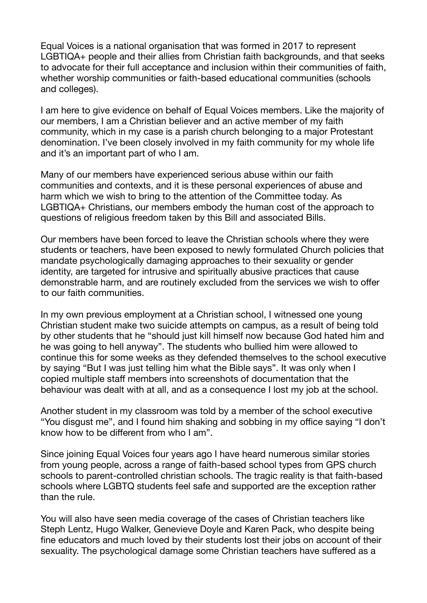Equal Voices is a national organisation that was formed in 2017 to represent LGBTIQA+ people and their allies from Christian faith backgrounds, and that seeks to advocate for their full acceptance and inclusion within their communities of faith, whether worship communities or faith-based educational communities (schools and colleges).

I am here to give evidence on behalf of Equal Voices members. Like the majority of our members, I am a Christian believer and an active member of my faith community, which in my case is a parish church belonging to a major Protestant denomination. I've been closely involved in my faith community for my whole life and it's an important part of who I am.

Many of our members have experienced serious abuse within our faith communities and contexts, and it is these personal experiences of abuse and harm which we wish to bring to the attention of the Committee today. As LGBTIQA+ Christians, our members embody the human cost of the approach to questions of religious freedom taken by this Bill and associated Bills.

Our members have been forced to leave the Christian schools where they were students or teachers, have been exposed to newly formulated Church policies that mandate psychologically damaging approaches to their sexuality or gender identity, are targeted for intrusive and spiritually abusive practices that cause demonstrable harm, and are routinely excluded from the services we wish to offer to our faith communities.

In my own previous employment at a Christian school, I witnessed one young Christian student make two suicide attempts on campus, as a result of being told by other students that he "should just kill himself now because God hated him and he was going to hell anyway". The students who bullied him were allowed to continue this for some weeks as they defended themselves to the school executive by saying "But I was just telling him what the Bible says". It was only when I copied multiple staff members into screenshots of documentation that the behaviour was dealt with at all, and as a consequence I lost my job at the school.

Another student in my classroom was told by a member of the school executive "You disgust me", and I found him shaking and sobbing in my office saying "I don't know how to be different from who I am".

Since joining Equal Voices four years ago I have heard numerous similar stories from young people, across a range of faith-based school types from GPS church schools to parent-controlled christian schools. The tragic reality is that faith-based schools where LGBTQ students feel safe and supported are the exception rather than the rule.

You will also have seen media coverage of the cases of Christian teachers like Steph Lentz, Hugo Walker, Genevieve Doyle and Karen Pack, who despite being fine educators and much loved by their students lost their jobs on account of their sexuality. The psychological damage some Christian teachers have suffered as a